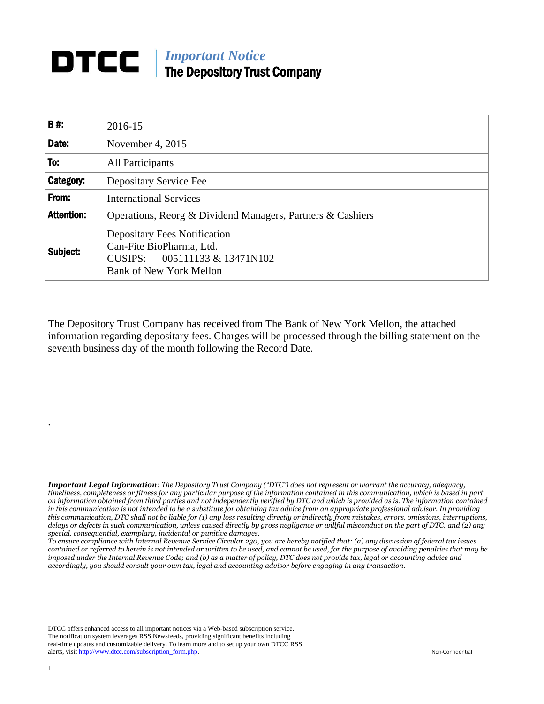## *Important Notice* DTCC I The Depository Trust Company

| B#:               | 2016-15                                                                                                                               |  |  |
|-------------------|---------------------------------------------------------------------------------------------------------------------------------------|--|--|
| Date:             | November 4, 2015                                                                                                                      |  |  |
| To:               | All Participants                                                                                                                      |  |  |
| Category:         | Depositary Service Fee                                                                                                                |  |  |
| From:             | <b>International Services</b>                                                                                                         |  |  |
| <b>Attention:</b> | Operations, Reorg & Dividend Managers, Partners & Cashiers                                                                            |  |  |
| Subject:          | <b>Depositary Fees Notification</b><br>Can-Fite BioPharma, Ltd.<br>CUSIPS: $005111133 \& 13471N102$<br><b>Bank of New York Mellon</b> |  |  |

The Depository Trust Company has received from The Bank of New York Mellon, the attached information regarding depositary fees. Charges will be processed through the billing statement on the seventh business day of the month following the Record Date.

*Important Legal Information: The Depository Trust Company ("DTC") does not represent or warrant the accuracy, adequacy, timeliness, completeness or fitness for any particular purpose of the information contained in this communication, which is based in part on information obtained from third parties and not independently verified by DTC and which is provided as is. The information contained in this communication is not intended to be a substitute for obtaining tax advice from an appropriate professional advisor. In providing this communication, DTC shall not be liable for (1) any loss resulting directly or indirectly from mistakes, errors, omissions, interruptions, delays or defects in such communication, unless caused directly by gross negligence or willful misconduct on the part of DTC, and (2) any special, consequential, exemplary, incidental or punitive damages.*

*To ensure compliance with Internal Revenue Service Circular 230, you are hereby notified that: (a) any discussion of federal tax issues contained or referred to herein is not intended or written to be used, and cannot be used, for the purpose of avoiding penalties that may be imposed under the Internal Revenue Code; and (b) as a matter of policy, DTC does not provide tax, legal or accounting advice and accordingly, you should consult your own tax, legal and accounting advisor before engaging in any transaction.*

DTCC offers enhanced access to all important notices via a Web-based subscription service. The notification system leverages RSS Newsfeeds, providing significant benefits including real-time updates and customizable delivery. To learn more and to set up your own DTCC RSS alerts, visit [http://www.dtcc.com/subscription\\_form.php.](http://www.dtcc.com/subscription_form.php) Non-Confidential

.